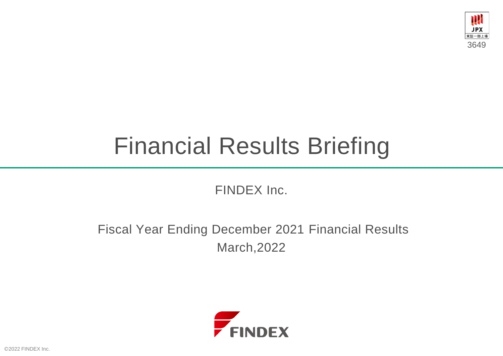

# Financial Results Briefing

FINDEX Inc.

Fiscal Year Ending December 2021 Financial Results March,2022



2022 FINDEX Inc.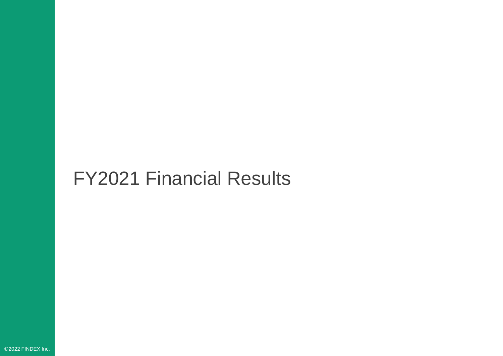## FY2021 Financial Results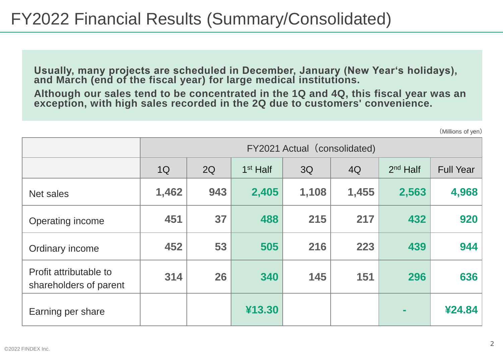**Usually, many projects are scheduled in December, January (New Year's holidays), and March (end of the fiscal year) for large medical institutions.**

**Although our sales tend to be concentrated in the 1Q and 4Q, this fiscal year was an exception, with high sales recorded in the 2Q due to customers' convenience.**

(Millions of yen)

|                                                  | FY2021 Actual (consolidated) |     |            |       |       |            |                  |
|--------------------------------------------------|------------------------------|-----|------------|-------|-------|------------|------------------|
|                                                  | 1Q                           | 2Q  | $1st$ Half | 3Q    | 4Q    | $2nd$ Half | <b>Full Year</b> |
| Net sales                                        | 1,462                        | 943 | 2,405      | 1,108 | 1,455 | 2,563      | 4,968            |
| Operating income                                 | 451                          | 37  | 488        | 215   | 217   | 432        | 920              |
| Ordinary income                                  | 452                          | 53  | 505        | 216   | 223   | 439        | 944              |
| Profit attributable to<br>shareholders of parent | 314                          | 26  | 340        | 145   | 151   | 296        | 636              |
| Earning per share                                |                              |     | ¥13.30     |       |       |            | ¥24.84           |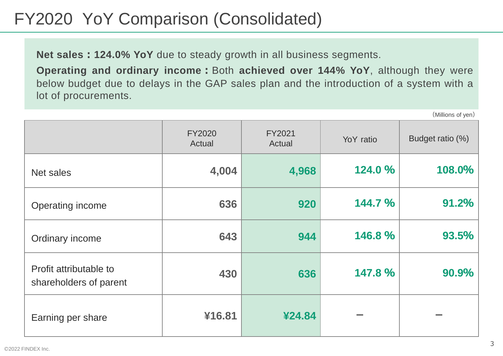### FY2020 YoY Comparison (Consolidated)

**Net sales:124.0% YoY** due to steady growth in all business segments.

**Operating and ordinary income:**Both **achieved over 144% YoY**, although they were below budget due to delays in the GAP sales plan and the introduction of a system with a lot of procurements.

FY2020 Actual FY2021 Actual YoY ratio Budget ratio (%) Net sales **4,004 4,968 124.0 % 108.0%** Operating income **636 920 144.7 % 91.2%** Ordinary income **643 944 146.8 % 93.5%** Profit attributable to shareholders of parent **430 636 147.8 % 90.9% Earning per share 416.81**  $\angle$  **<b>424.84** 

(Millions of yen)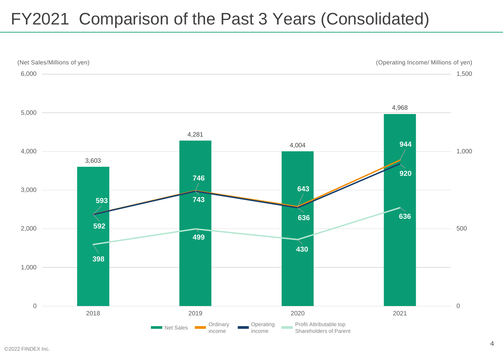### FY2021 Comparison of the Past 3 Years (Consolidated)

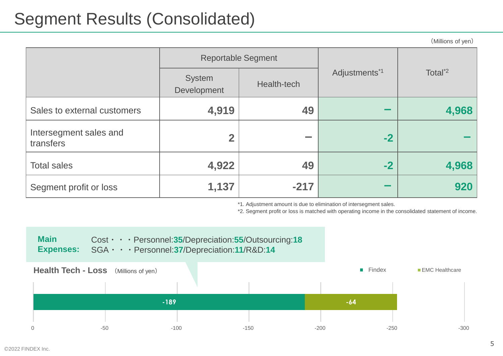### Segment Results (Consolidated)

(Millions of yen)

|                                     | <b>Reportable Segment</b> |             |                           |                     |
|-------------------------------------|---------------------------|-------------|---------------------------|---------------------|
|                                     | System<br>Development     | Health-tech | Adjustments <sup>*1</sup> | Total <sup>*2</sup> |
| Sales to external customers         | 4,919                     | 49          |                           | 4,968               |
| Intersegment sales and<br>transfers | $\overline{2}$            |             | $-2$                      |                     |
| <b>Total sales</b>                  | 4,922                     | 49          | $-2$                      | 4,968               |
| Segment profit or loss              | 1,137                     | $-217$      |                           | 920                 |

\*1. Adjustment amount is due to elimination of intersegment sales.

\*2. Segment profit or loss is matched with operating income in the consolidated statement of income.

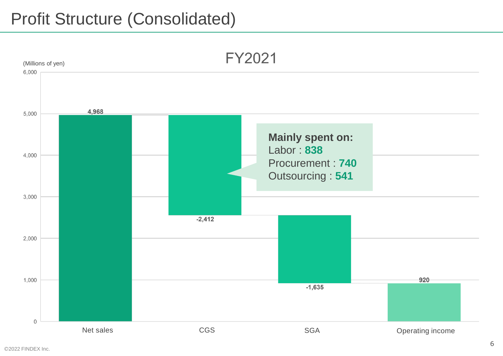### Profit Structure (Consolidated)

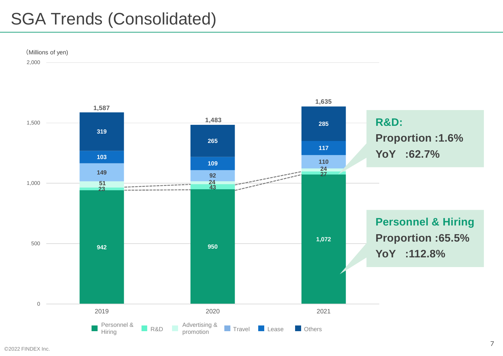### SGA Trends (Consolidated)



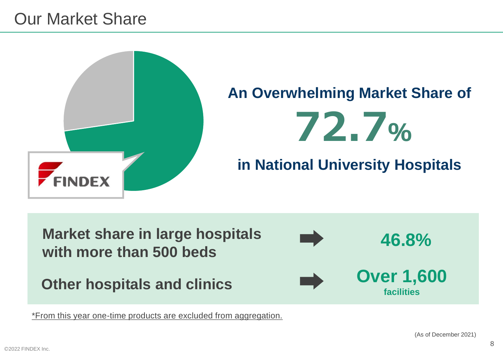

**Market share in large hospitals with more than 500 beds** Other hospitals and clinics **Department Control 1,600 facilities 46.8%**

\*From this year one-time products are excluded from aggregation.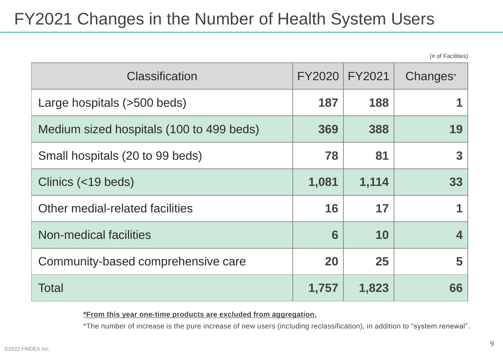### FY2021 Changes in the Number of Health System Users

(# of Facilities)

| <b>Classification</b>                    | <b>FY2020</b> | FY2021 | Changes*                |
|------------------------------------------|---------------|--------|-------------------------|
| Large hospitals (>500 beds)              | 187           | 188    |                         |
| Medium sized hospitals (100 to 499 beds) | 369           | 388    | 19                      |
| Small hospitals (20 to 99 beds)          | 78            | 81     | 3                       |
| Clinics (<19 beds)                       | 1,081         | 1,114  | 33                      |
| Other medial-related facilities          | 16            | 17     |                         |
| Non-medical facilities                   | 6             | 10     | $\overline{\mathbf{4}}$ |
| Community-based comprehensive care       | 20            | 25     | 5                       |
| <b>Total</b>                             | 1,757         | 1,823  | 66                      |

**\*From this year one-time products are excluded from aggregation.**

\*The number of increase is the pure increase of new users (including reclassification), in addition to "system renewal".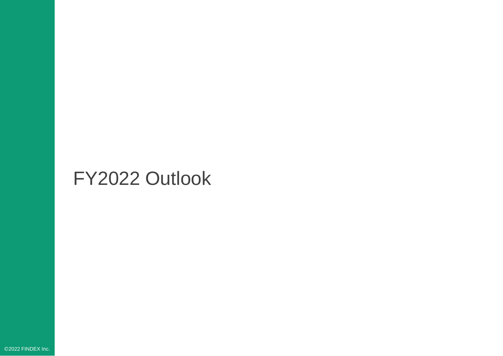### FY2022 Outlook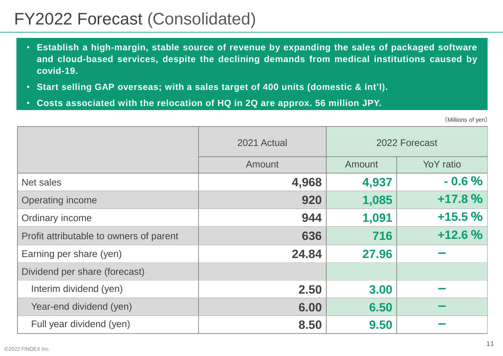### FY2022 Forecast (Consolidated)

- **Establish a high-margin, stable source of revenue by expanding the sales of packaged software and cloud-based services, despite the declining demands from medical institutions caused by covid-19.**
- **Start selling GAP overseas; with a sales target of 400 units (domestic & int'l).**
- **Costs associated with the relocation of HQ in 2Q are approx. 56 million JPY.**

(Millions of yen)

|                                         | 2021 Actual | 2022 Forecast |           |  |
|-----------------------------------------|-------------|---------------|-----------|--|
|                                         | Amount      | Amount        | YoY ratio |  |
| <b>Net sales</b>                        | 4,968       | 4,937         | $-0.6%$   |  |
| <b>Operating income</b>                 | 920         | 1,085         | +17.8 %   |  |
| Ordinary income                         | 944         | 1,091         | $+15.5%$  |  |
| Profit attributable to owners of parent | 636         | 716           | $+12.6%$  |  |
| Earning per share (yen)                 | 24.84       | 27.96         |           |  |
| Dividend per share (forecast)           |             |               |           |  |
| Interim dividend (yen)                  | 2.50        | 3.00          |           |  |
| Year-end dividend (yen)                 | 6.00        | 6.50          |           |  |
| Full year dividend (yen)                | 8.50        | 9.50          |           |  |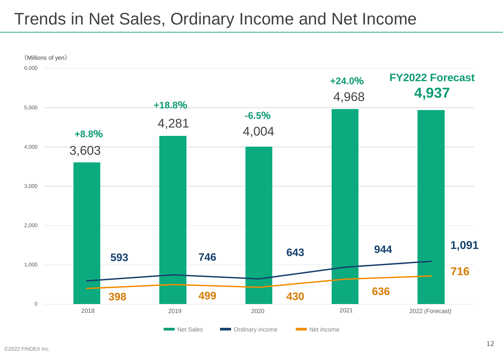### Trends in Net Sales, Ordinary Income and Net Income

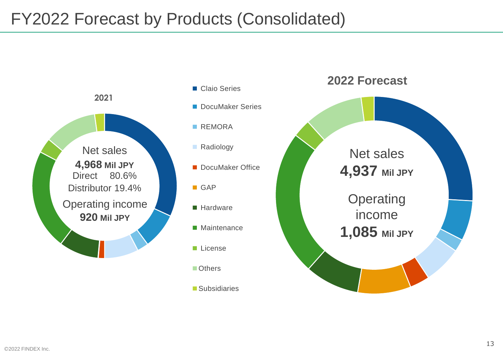### FY2022 Forecast by Products (Consolidated)



- Claio Series ■ DocuMaker Series
- REMORA
- Radiology
- DocuMaker Office
- GAP
- Hardware
- Maintenance
- License
- Others
- Subsidiaries

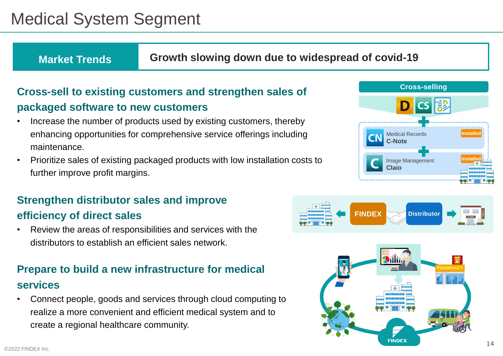### Medical System Segment

**Market Trends Growth slowing down due to widespread of covid-19**

#### **Cross-sell to existing customers and strengthen sales of packaged software to new customers**

- Increase the number of products used by existing customers, thereby enhancing opportunities for comprehensive service offerings including maintenance.
- Prioritize sales of existing packaged products with low installation costs to further improve profit margins.

#### **Strengthen distributor sales and improve efficiency of direct sales**

• Review the areas of responsibilities and services with the distributors to establish an efficient sales network.

#### **Prepare to build a new infrastructure for medical services**

• Connect people, goods and services through cloud computing to realize a more convenient and efficient medical system and to create a regional healthcare community.





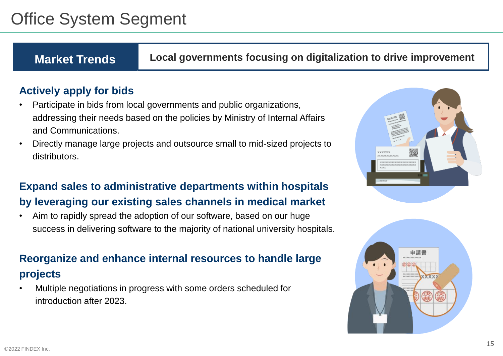### Office System Segment

**Market Trends Local governments focusing on digitalization to drive improvement**

#### **Actively apply for bids**

- Participate in bids from local governments and public organizations, addressing their needs based on the policies by Ministry of Internal Affairs and Communications.
- Directly manage large projects and outsource small to mid-sized projects to distributors.

#### **Expand sales to administrative departments within hospitals by leveraging our existing sales channels in medical market**

• Aim to rapidly spread the adoption of our software, based on our huge success in delivering software to the majority of national university hospitals.

#### **Reorganize and enhance internal resources to handle large projects**

• Multiple negotiations in progress with some orders scheduled for introduction after 2023.



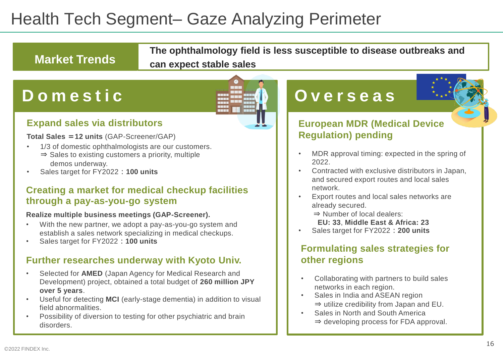### Health Tech Segment– Gaze Analyzing Perimeter

### **Market Trends**

**The ophthalmology field is less susceptible to disease outbreaks and can expect stable sales**

### **D o m e s t i c**

#### **Expand sales via distributors**

**Total Sales =12 units** (GAP-Screener/GAP)

- 1/3 of domestic ophthalmologists are our customers. ⇒ Sales to existing customers a priority, multiple demos underway.
- Sales target for FY2022:**100 units**

#### **Creating a market for medical checkup facilities through a pay-as-you-go system**

#### **Realize multiple business meetings (GAP-Screener).**

- With the new partner, we adopt a pay-as-you-go system and establish a sales network specializing in medical checkups.
- Sales target for FY2022:**100 units**

#### **Further researches underway with Kyoto Univ.**

- Selected for **AMED** (Japan Agency for Medical Research and Development) project, obtained a total budget of **260 million JPY over 5 years**.
- Useful for detecting **MCI** (early-stage dementia) in addition to visual field abnormalities.
- Possibility of diversion to testing for other psychiatric and brain disorders.

### **O v e r s e a s**

#### **European MDR (Medical Device Regulation) pending**

- MDR approval timing: expected in the spring of 2022.
- Contracted with exclusive distributors in Japan, and secured export routes and local sales network.
- Export routes and local sales networks are already secured.
	- ⇒ Number of local dealers:
	- **EU: 33**, **Middle East & Africa: 23**
- Sales target for FY2022:**200 units**

#### **Formulating sales strategies for other regions**

- Collaborating with partners to build sales networks in each region.
- Sales in India and ASEAN region ⇒ utilize credibility from Japan and EU.
- Sales in North and South America ⇒ developing process for FDA approval.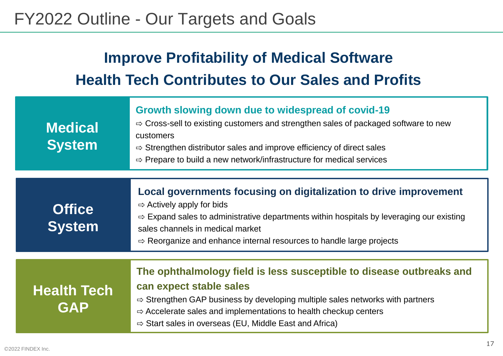### FY2022 Outline - Our Targets and Goals

### **Improve Profitability of Medical Software Health Tech Contributes to Our Sales and Profits**

| <b>Medical</b><br><b>System</b>  | Growth slowing down due to widespread of covid-19<br>$\Rightarrow$ Cross-sell to existing customers and strengthen sales of packaged software to new<br>customers<br>$\Rightarrow$ Strengthen distributor sales and improve efficiency of direct sales<br>$\Rightarrow$ Prepare to build a new network/infrastructure for medical services         |
|----------------------------------|----------------------------------------------------------------------------------------------------------------------------------------------------------------------------------------------------------------------------------------------------------------------------------------------------------------------------------------------------|
| <b>Office</b><br><b>System</b>   | Local governments focusing on digitalization to drive improvement<br>$\Rightarrow$ Actively apply for bids<br>$\Rightarrow$ Expand sales to administrative departments within hospitals by leveraging our existing<br>sales channels in medical market<br>$\Rightarrow$ Reorganize and enhance internal resources to handle large projects         |
| <b>Health Tech</b><br><b>GAP</b> | The ophthalmology field is less susceptible to disease outbreaks and<br>can expect stable sales<br>$\Rightarrow$ Strengthen GAP business by developing multiple sales networks with partners<br>$\Rightarrow$ Accelerate sales and implementations to health checkup centers<br>$\Rightarrow$ Start sales in overseas (EU, Middle East and Africa) |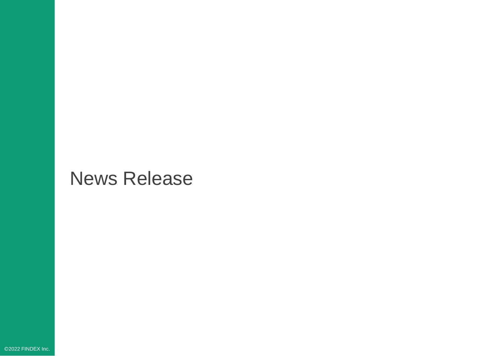## News Release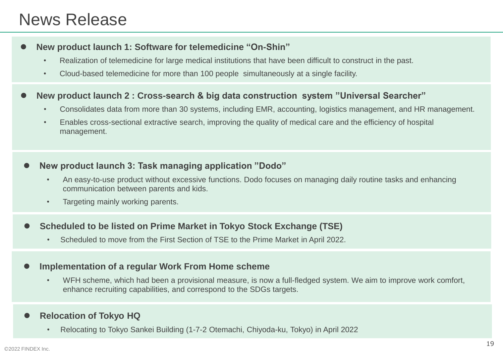### News Release

#### ⚫ **New product launch 1: Software for telemedicine "On-Shin"**

- Realization of telemedicine for large medical institutions that have been difficult to construct in the past.
- Cloud-based telemedicine for more than 100 people simultaneously at a single facility.

#### ⚫ **New product launch 2 : Cross-search & big data construction system "Universal Searcher"**

- Consolidates data from more than 30 systems, including EMR, accounting, logistics management, and HR management.
- Enables cross-sectional extractive search, improving the quality of medical care and the efficiency of hospital management.

#### ⚫ **New product launch 3: Task managing application "Dodo"**

- An easy-to-use product without excessive functions. Dodo focuses on managing daily routine tasks and enhancing communication between parents and kids.
- Targeting mainly working parents.

#### ⚫ **Scheduled to be listed on Prime Market in Tokyo Stock Exchange (TSE)**

• Scheduled to move from the First Section of TSE to the Prime Market in April 2022.

#### ⚫ **Implementation of a regular Work From Home scheme**

• WFH scheme, which had been a provisional measure, is now a full-fledged system. We aim to improve work comfort, enhance recruiting capabilities, and correspond to the SDGs targets.

#### ⚫ **Relocation of Tokyo HQ**

• Relocating to Tokyo Sankei Building (1-7-2 Otemachi, Chiyoda-ku, Tokyo) in April 2022